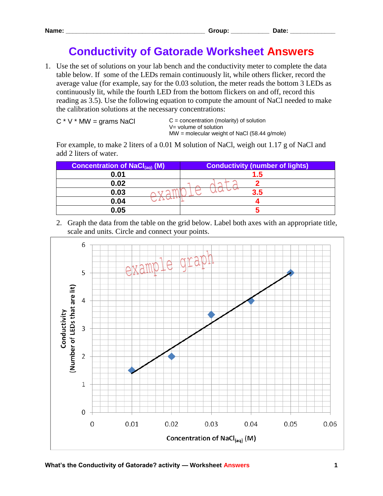## **Conductivity of Gatorade Worksheet Answers**

1. Use the set of solutions on your lab bench and the conductivity meter to complete the data table below. If some of the LEDs remain continuously lit, while others flicker, record the average value (for example, say for the 0.03 solution, the meter reads the bottom 3 LEDs as continuously lit, while the fourth LED from the bottom flickers on and off, record this reading as 3.5). Use the following equation to compute the amount of NaCl needed to make the calibration solutions at the necessary concentrations:

$$
C * V * MW = grams NaCl
$$

 $C =$  concentration (molarity) of solution V= volume of solution MW = molecular weight of NaCl (58.44 g/mole)

For example, to make 2 liters of a 0.01 M solution of NaCl, weigh out 1.17 g of NaCl and add 2 liters of water.

| <b>Concentration of NaCl(aq) (M)</b> | <b>Conductivity (number of lights)</b> |
|--------------------------------------|----------------------------------------|
| 0.01                                 | $1.5^{\circ}$                          |
| 0.02                                 |                                        |
| 0.03                                 | 35                                     |
| 0.04                                 |                                        |
| 0.05                                 |                                        |

2. Graph the data from the table on the grid below. Label both axes with an appropriate title, scale and units. Circle and connect your points.

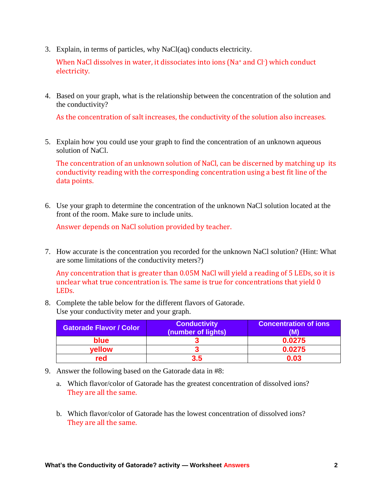3. Explain, in terms of particles, why NaCl(aq) conducts electricity.

When NaCl dissolves in water, it dissociates into ions (Na<sup>+</sup> and Cl<sup>-</sup>) which conduct electricity.

4. Based on your graph, what is the relationship between the concentration of the solution and the conductivity?

As the concentration of salt increases, the conductivity of the solution also increases.

5. Explain how you could use your graph to find the concentration of an unknown aqueous solution of NaCl.

The concentration of an unknown solution of NaCl, can be discerned by matching up its conductivity reading with the corresponding concentration using a best fit line of the data points.

6. Use your graph to determine the concentration of the unknown NaCl solution located at the front of the room. Make sure to include units.

Answer depends on NaCl solution provided by teacher.

7. How accurate is the concentration you recorded for the unknown NaCl solution? (Hint: What are some limitations of the conductivity meters?)

Any concentration that is greater than 0.05M NaCl will yield a reading of 5 LEDs, so it is unclear what true concentration is. The same is true for concentrations that yield 0 LEDs.

8. Complete the table below for the different flavors of Gatorade. Use your conductivity meter and your graph.

| <b>Gatorade Flavor / Color</b> | <b>Conductivity</b><br>(number of lights) | <b>Concentration of ions</b><br>(M) |
|--------------------------------|-------------------------------------------|-------------------------------------|
| blue                           |                                           | 0.0275                              |
| vellow                         |                                           | 0.0275                              |
| red                            | 3.5                                       | 0.03                                |

- 9. Answer the following based on the Gatorade data in #8:
	- a. Which flavor/color of Gatorade has the greatest concentration of dissolved ions? They are all the same.
	- b. Which flavor/color of Gatorade has the lowest concentration of dissolved ions? They are all the same.